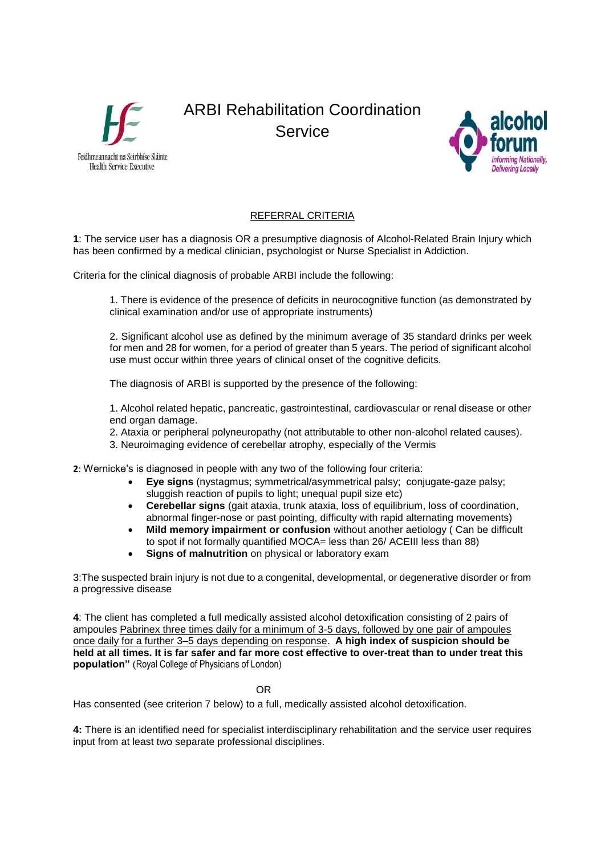

## ARBI Rehabilitation Coordination **Service**



## REFERRAL CRITERIA

**1**: The service user has a diagnosis OR a presumptive diagnosis of Alcohol-Related Brain Injury which has been confirmed by a medical clinician, psychologist or Nurse Specialist in Addiction.

Criteria for the clinical diagnosis of probable ARBI include the following:

1. There is evidence of the presence of deficits in neurocognitive function (as demonstrated by clinical examination and/or use of appropriate instruments)

2. Significant alcohol use as defined by the minimum average of 35 standard drinks per week for men and 28 for women, for a period of greater than 5 years. The period of significant alcohol use must occur within three years of clinical onset of the cognitive deficits.

The diagnosis of ARBI is supported by the presence of the following:

1. Alcohol related hepatic, pancreatic, gastrointestinal, cardiovascular or renal disease or other end organ damage.

2. Ataxia or peripheral polyneuropathy (not attributable to other non-alcohol related causes).

3. Neuroimaging evidence of cerebellar atrophy, especially of the Vermis

**2**: Wernicke's is diagnosed in people with any two of the following four criteria:

- **Eye signs** (nystagmus; symmetrical/asymmetrical palsy; conjugate-gaze palsy; sluggish reaction of pupils to light; unequal pupil size etc)
- **Cerebellar signs** (gait ataxia, trunk ataxia, loss of equilibrium, loss of coordination, abnormal finger-nose or past pointing, difficulty with rapid alternating movements)
- **Mild memory impairment or confusion** without another aetiology ( Can be difficult to spot if not formally quantified MOCA= less than 26/ ACEIII less than 88)
- **Signs of malnutrition** on physical or laboratory exam

3:The suspected brain injury is not due to a congenital, developmental, or degenerative disorder or from a progressive disease

**4**: The client has completed a full medically assisted alcohol detoxification consisting of 2 pairs of ampoules Pabrinex three times daily for a minimum of 3-5 days, followed by one pair of ampoules once daily for a further 3–5 days depending on response. **A high index of suspicion should be held at all times. It is far safer and far more cost effective to over-treat than to under treat this population"** (Royal College of Physicians of London)

OR

Has consented (see criterion 7 below) to a full, medically assisted alcohol detoxification.

**4:** There is an identified need for specialist interdisciplinary rehabilitation and the service user requires input from at least two separate professional disciplines.